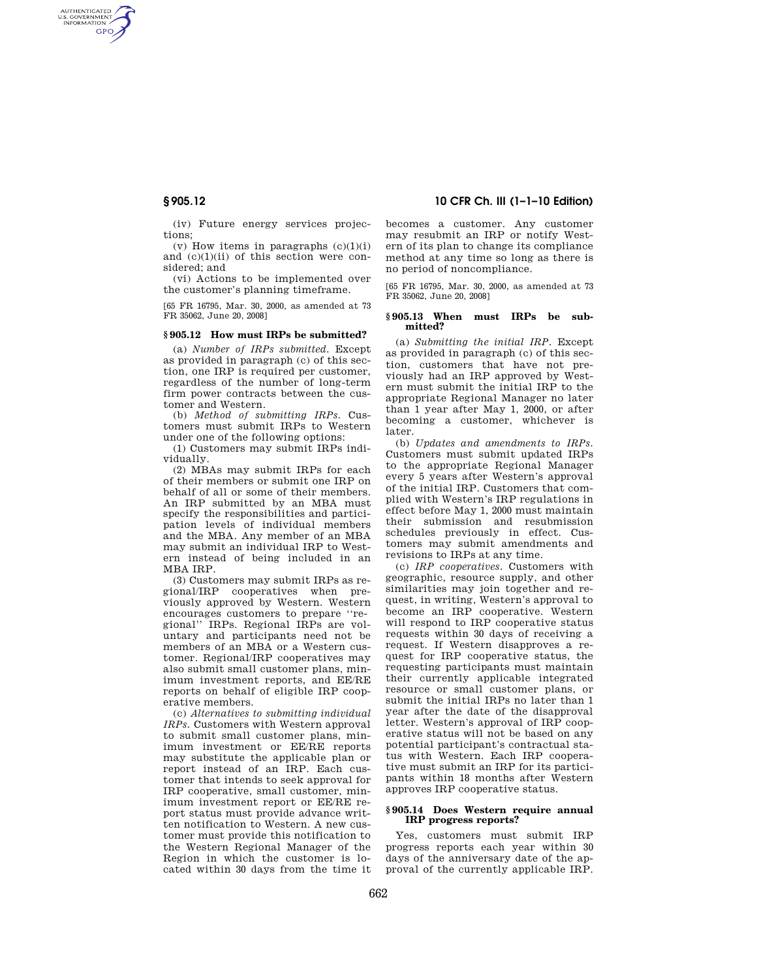AUTHENTICATED<br>U.S. GOVERNMENT<br>INFORMATION **GPO** 

> (iv) Future energy services projections;

(v) How items in paragraphs  $(c)(1)(i)$ and  $(c)(1)(ii)$  of this section were considered; and

(vi) Actions to be implemented over the customer's planning timeframe.

[65 FR 16795, Mar. 30, 2000, as amended at 73 FR 35062, June 20, 2008]

#### **§ 905.12 How must IRPs be submitted?**

(a) *Number of IRPs submitted.* Except as provided in paragraph (c) of this section, one IRP is required per customer, regardless of the number of long-term firm power contracts between the customer and Western.

(b) *Method of submitting IRPs.* Customers must submit IRPs to Western under one of the following options:

(1) Customers may submit IRPs individually.

(2) MBAs may submit IRPs for each of their members or submit one IRP on behalf of all or some of their members. An IRP submitted by an MBA must specify the responsibilities and participation levels of individual members and the MBA. Any member of an MBA may submit an individual IRP to Western instead of being included in an MBA IRP.

(3) Customers may submit IRPs as regional/IRP cooperatives when previously approved by Western. Western encourages customers to prepare ''regional'' IRPs. Regional IRPs are voluntary and participants need not be members of an MBA or a Western customer. Regional/IRP cooperatives may also submit small customer plans, minimum investment reports, and EE/RE reports on behalf of eligible IRP cooperative members.

(c) *Alternatives to submitting individual IRPs.* Customers with Western approval to submit small customer plans, minimum investment or EE/RE reports may substitute the applicable plan or report instead of an IRP. Each customer that intends to seek approval for IRP cooperative, small customer, minimum investment report or EE/RE report status must provide advance written notification to Western. A new customer must provide this notification to the Western Regional Manager of the Region in which the customer is located within 30 days from the time it

# **§ 905.12 10 CFR Ch. III (1–1–10 Edition)**

becomes a customer. Any customer may resubmit an IRP or notify Western of its plan to change its compliance method at any time so long as there is no period of noncompliance.

[65 FR 16795, Mar. 30, 2000, as amended at 73 FR 35062, June 20, 2008]

## **§ 905.13 When must IRPs be submitted?**

(a) *Submitting the initial IRP.* Except as provided in paragraph (c) of this section, customers that have not previously had an IRP approved by Western must submit the initial IRP to the appropriate Regional Manager no later than 1 year after May 1, 2000, or after becoming a customer, whichever is later.

(b) *Updates and amendments to IRPs.*  Customers must submit updated IRPs to the appropriate Regional Manager every 5 years after Western's approval of the initial IRP. Customers that complied with Western's IRP regulations in effect before May 1, 2000 must maintain their submission and resubmission schedules previously in effect. Customers may submit amendments and revisions to IRPs at any time.

(c) *IRP cooperatives.* Customers with geographic, resource supply, and other similarities may join together and request, in writing, Western's approval to become an IRP cooperative. Western will respond to IRP cooperative status requests within 30 days of receiving a request. If Western disapproves a request for IRP cooperative status, the requesting participants must maintain their currently applicable integrated resource or small customer plans, or submit the initial IRPs no later than 1 year after the date of the disapproval letter. Western's approval of IRP cooperative status will not be based on any potential participant's contractual status with Western. Each IRP cooperative must submit an IRP for its participants within 18 months after Western approves IRP cooperative status.

## **§ 905.14 Does Western require annual IRP progress reports?**

Yes, customers must submit IRP progress reports each year within 30 days of the anniversary date of the approval of the currently applicable IRP.